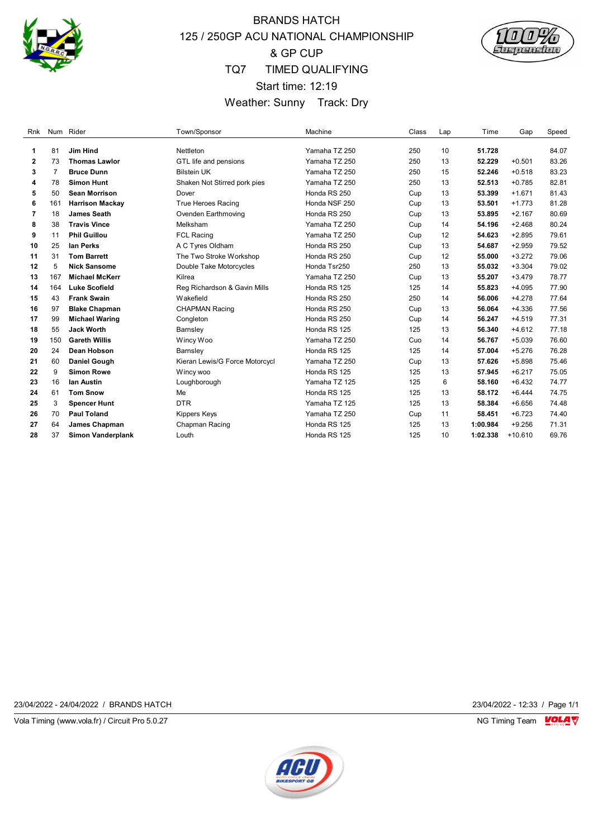

## BRANDS HATCH 125 / 250GP ACU NATIONAL CHAMPIONSHIP & GP CUP TQ7 TIMED QUALIFYING Start time: 12:19 Weather: Sunny Track: Dry



| Rnk          |     | Num Rider                | Town/Sponsor                   | Machine       | Class | Lap | Time     | Gap       | Speed |
|--------------|-----|--------------------------|--------------------------------|---------------|-------|-----|----------|-----------|-------|
|              | 81  | Jim Hind                 | Nettleton                      | Yamaha TZ 250 | 250   | 10  | 51.728   |           | 84.07 |
| 1            |     |                          |                                |               |       |     |          |           |       |
| $\mathbf{2}$ | 73  | <b>Thomas Lawlor</b>     | GTL life and pensions          | Yamaha TZ 250 | 250   | 13  | 52.229   | $+0.501$  | 83.26 |
| 3            | 7   | <b>Bruce Dunn</b>        | <b>Bilstein UK</b>             | Yamaha TZ 250 | 250   | 15  | 52.246   | $+0.518$  | 83.23 |
| 4            | 78  | <b>Simon Hunt</b>        | Shaken Not Stirred pork pies   | Yamaha TZ 250 | 250   | 13  | 52.513   | $+0.785$  | 82.81 |
| 5            | 50  | <b>Sean Morrison</b>     | Dover                          | Honda RS 250  | Cup   | 13  | 53.399   | $+1.671$  | 81.43 |
| 6            | 161 | <b>Harrison Mackay</b>   | <b>True Heroes Racing</b>      | Honda NSF 250 | Cup   | 13  | 53.501   | $+1.773$  | 81.28 |
| 7            | 18  | <b>James Seath</b>       | Ovenden Earthmoving            | Honda RS 250  | Cup   | 13  | 53.895   | $+2.167$  | 80.69 |
| 8            | 38  | <b>Travis Vince</b>      | Melksham                       | Yamaha TZ 250 | Cup   | 14  | 54.196   | $+2.468$  | 80.24 |
| 9            | 11  | <b>Phil Guillou</b>      | <b>FCL Racing</b>              | Yamaha TZ 250 | Cup   | 12  | 54.623   | $+2.895$  | 79.61 |
| 10           | 25  | lan Perks                | A C Tyres Oldham               | Honda RS 250  | Cup   | 13  | 54.687   | $+2.959$  | 79.52 |
| 11           | 31  | <b>Tom Barrett</b>       | The Two Stroke Workshop        | Honda RS 250  | Cup   | 12  | 55.000   | $+3.272$  | 79.06 |
| 12           | 5   | <b>Nick Sansome</b>      | Double Take Motorcycles        | Honda Tsr250  | 250   | 13  | 55.032   | $+3.304$  | 79.02 |
| 13           | 167 | <b>Michael McKerr</b>    | Kilrea                         | Yamaha TZ 250 | Cup   | 13  | 55.207   | $+3.479$  | 78.77 |
| 14           | 164 | <b>Luke Scofield</b>     | Reg Richardson & Gavin Mills   | Honda RS 125  | 125   | 14  | 55.823   | $+4.095$  | 77.90 |
| 15           | 43  | <b>Frank Swain</b>       | Wakefield                      | Honda RS 250  | 250   | 14  | 56.006   | $+4.278$  | 77.64 |
| 16           | 97  | <b>Blake Chapman</b>     | <b>CHAPMAN Racing</b>          | Honda RS 250  | Cup   | 13  | 56.064   | $+4.336$  | 77.56 |
| 17           | 99  | <b>Michael Waring</b>    | Congleton                      | Honda RS 250  | Cup   | 14  | 56.247   | $+4.519$  | 77.31 |
| 18           | 55  | <b>Jack Worth</b>        | Barnsley                       | Honda RS 125  | 125   | 13  | 56.340   | $+4.612$  | 77.18 |
| 19           | 150 | <b>Gareth Willis</b>     | Wincy Woo                      | Yamaha TZ 250 | Cuo   | 14  | 56.767   | $+5.039$  | 76.60 |
| 20           | 24  | Dean Hobson              | Barnsley                       | Honda RS 125  | 125   | 14  | 57.004   | $+5.276$  | 76.28 |
| 21           | 60  | <b>Daniel Gough</b>      | Kieran Lewis/G Force Motorcycl | Yamaha TZ 250 | Cup   | 13  | 57.626   | $+5.898$  | 75.46 |
| 22           | 9   | <b>Simon Rowe</b>        | Wincy woo                      | Honda RS 125  | 125   | 13  | 57.945   | $+6.217$  | 75.05 |
| 23           | 16  | lan Austin               | Loughborough                   | Yamaha TZ 125 | 125   | 6   | 58.160   | $+6.432$  | 74.77 |
| 24           | 61  | <b>Tom Snow</b>          | Me                             | Honda RS 125  | 125   | 13  | 58.172   | $+6.444$  | 74.75 |
| 25           | 3   | <b>Spencer Hunt</b>      | <b>DTR</b>                     | Yamaha TZ 125 | 125   | 13  | 58.384   | $+6.656$  | 74.48 |
| 26           | 70  | <b>Paul Toland</b>       | <b>Kippers Keys</b>            | Yamaha TZ 250 | Cup   | 11  | 58.451   | $+6.723$  | 74.40 |
| 27           | 64  | James Chapman            | Chapman Racing                 | Honda RS 125  | 125   | 13  | 1:00.984 | $+9.256$  | 71.31 |
| 28           | 37  | <b>Simon Vanderplank</b> | Louth                          | Honda RS 125  | 125   | 10  | 1:02.338 | $+10.610$ | 69.76 |

23/04/2022 - 24/04/2022 / BRANDS HATCH 23/04/2022 - 12:33 / Page 1/1

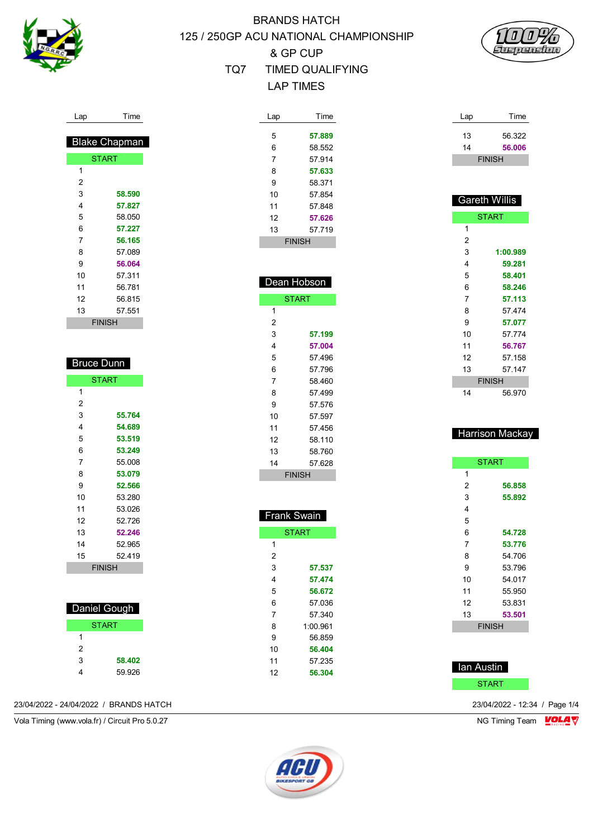



Lap Time

| <b>Blake Chapman</b> |        |  |  |  |
|----------------------|--------|--|--|--|
| START                |        |  |  |  |
| 1                    |        |  |  |  |
| 2                    |        |  |  |  |
| 3                    | 58.590 |  |  |  |
| 4                    | 57.827 |  |  |  |
| 5                    | 58.050 |  |  |  |
| 6                    | 57.227 |  |  |  |
| 7                    | 56.165 |  |  |  |
| 8                    | 57.089 |  |  |  |
| 9                    | 56.064 |  |  |  |
| 10                   | 57.311 |  |  |  |
| 11                   | 56.781 |  |  |  |
| 12                   | 56.815 |  |  |  |
| 13                   | 57.551 |  |  |  |
| <b>FINISH</b>        |        |  |  |  |

| <b>Bruce Dunn</b> |        |  |
|-------------------|--------|--|
| <b>START</b>      |        |  |
| 1                 |        |  |
| 2                 |        |  |
| 3                 | 55.764 |  |
| 4                 | 54.689 |  |
| 5                 | 53.519 |  |
| 6                 | 53.249 |  |
| 7                 | 55.008 |  |
| 8                 | 53.079 |  |
| 9                 | 52.566 |  |
| 10                | 53.280 |  |
| 11                | 53.026 |  |
| 12                | 52.726 |  |
| 13                | 52.246 |  |
| 14                | 52.965 |  |
| 15                | 52 419 |  |
| <b>FINISH</b>     |        |  |
|                   |        |  |

| Daniel Gough |        |  |  |
|--------------|--------|--|--|
| <b>START</b> |        |  |  |
| 1            |        |  |  |
| 2            |        |  |  |
| 3            | 58.402 |  |  |
|              | 59 926 |  |  |

23/04/2022 - 24/04/2022 / BRANDS HATCH 23/04/2022 - 12:34 / Page 1/4

Vola Timing (www.vola.fr) / Circuit Pro 5.0.27 NG Timing Team Monetary NG Timing Team Monetary



| Dean Hobson   |        |  |  |
|---------------|--------|--|--|
| <b>START</b>  |        |  |  |
| 1             |        |  |  |
| 2             |        |  |  |
| 3             | 57.199 |  |  |
| 4             | 57.004 |  |  |
| 5             | 57.496 |  |  |
| 6             | 57.796 |  |  |
| 7             | 58.460 |  |  |
| 8             | 57 499 |  |  |
| 9             | 57.576 |  |  |
| 10            | 57.597 |  |  |
| 11            | 57.456 |  |  |
| 12            | 58.110 |  |  |
| 13            | 58.760 |  |  |
| 14            | 57.628 |  |  |
| <b>FINISH</b> |        |  |  |

| <u>Fra</u> nk Swain |          |  |  |  |
|---------------------|----------|--|--|--|
| <b>START</b>        |          |  |  |  |
| 1                   |          |  |  |  |
| 2                   |          |  |  |  |
| 3                   | 57.537   |  |  |  |
| 4                   | 57.474   |  |  |  |
| 5                   | 56.672   |  |  |  |
| 6                   | 57.036   |  |  |  |
| 7                   | 57.340   |  |  |  |
| 8                   | 1:00.961 |  |  |  |
| 9                   | 56.859   |  |  |  |
| 10                  | 56.404   |  |  |  |
| 11                  | 57.235   |  |  |  |
| 12                  | 56.304   |  |  |  |
|                     |          |  |  |  |

| Lap | Time          |
|-----|---------------|
| 13  | 56.322        |
| 14  | 56.006        |
|     | <b>FINISH</b> |

| Gareth Willis |          |  |  |  |
|---------------|----------|--|--|--|
| <b>START</b>  |          |  |  |  |
| 1             |          |  |  |  |
| 2             |          |  |  |  |
| 3             | 1:00.989 |  |  |  |
| 4             | 59.281   |  |  |  |
| 5             | 58.401   |  |  |  |
| 6             | 58.246   |  |  |  |
| 7             | 57.113   |  |  |  |
| 8             | 57.474   |  |  |  |
| 9             | 57.077   |  |  |  |
| 10            | 57 774   |  |  |  |
| 11            | 56.767   |  |  |  |
| 12            | 57.158   |  |  |  |
| 13            | 57.147   |  |  |  |
| <b>FINISH</b> |          |  |  |  |
| 14            | 56.970   |  |  |  |

#### Harrison Mackay

| <b>START</b>  |        |  |  |  |
|---------------|--------|--|--|--|
| 1             |        |  |  |  |
| 2             | 56.858 |  |  |  |
| 3             | 55.892 |  |  |  |
| 4             |        |  |  |  |
| 5             |        |  |  |  |
| 6             | 54.728 |  |  |  |
| 7             | 53.776 |  |  |  |
| 8             | 54.706 |  |  |  |
| 9             | 53.796 |  |  |  |
| 10            | 54.017 |  |  |  |
| 11            | 55.950 |  |  |  |
| 12            | 53.831 |  |  |  |
| 13            | 53.501 |  |  |  |
| <b>FINISH</b> |        |  |  |  |

| lan Austin   |  |
|--------------|--|
| <b>START</b> |  |
|              |  |

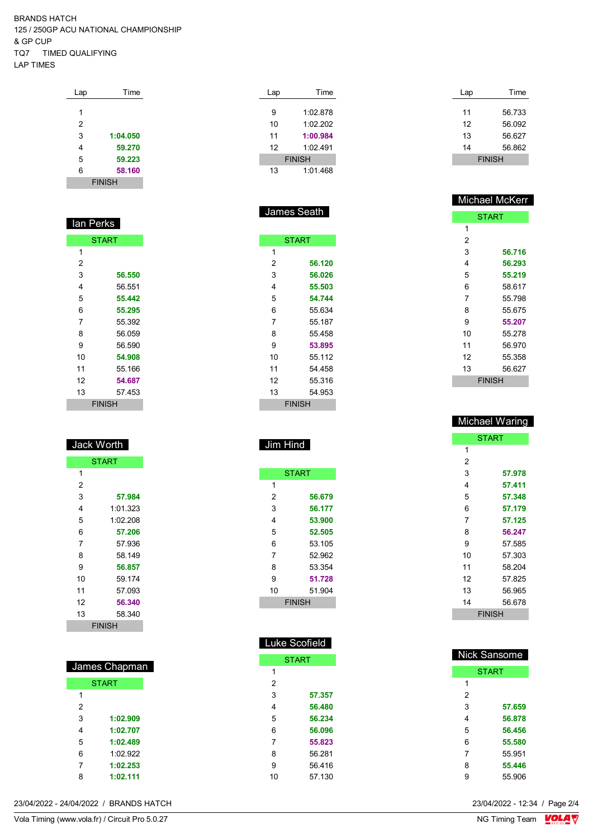| Time          |
|---------------|
|               |
|               |
|               |
| 1:04.050      |
| 59.270        |
| 59.223        |
| 58.160        |
| <b>FINISH</b> |
|               |

| lan Perks     |        |  |  |
|---------------|--------|--|--|
| <b>START</b>  |        |  |  |
| 1             |        |  |  |
| 2             |        |  |  |
| 3             | 56.550 |  |  |
| 4             | 56.551 |  |  |
| 5             | 55.442 |  |  |
| 6             | 55.295 |  |  |
| 7             | 55.392 |  |  |
| 8             | 56.059 |  |  |
| 9             | 56.590 |  |  |
| 10            | 54.908 |  |  |
| 11            | 55.166 |  |  |
| 12            | 54.687 |  |  |
| 13            | 57.453 |  |  |
| <b>FINISH</b> |        |  |  |

## Jack Worth

| <b>START</b> |          |  |
|--------------|----------|--|
| 1            |          |  |
| 2            |          |  |
| 3            | 57.984   |  |
| 4            | 1:01.323 |  |
| 5            | 1:02.208 |  |
| 6            | 57.206   |  |
| 7            | 57.936   |  |
| 8            | 58 149   |  |
| 9            | 56.857   |  |
| 10           | 59.174   |  |
| 11           | 57.093   |  |
| 12           | 56.340   |  |
| 13           | 58.340   |  |
| FINISH       |          |  |

| James Chapman |              |  |
|---------------|--------------|--|
|               | <b>START</b> |  |
| 1             |              |  |
| 2             |              |  |
| 3             | 1:02.909     |  |
| 4             | 1:02.707     |  |
| 5             | 1:02.489     |  |
| 6             | 1:02.922     |  |
| 7             | 1:02.253     |  |
| ጸ             | 1:02.111     |  |

| Lap           | Time     |  |
|---------------|----------|--|
|               |          |  |
| 9             | 1:02.878 |  |
| 10            | 1:02.202 |  |
| 11            | 1:00.984 |  |
| 12            | 1:02.491 |  |
| <b>FINISH</b> |          |  |
| 13            | 1:01.468 |  |

| James Seath    |              |
|----------------|--------------|
|                |              |
|                | <b>START</b> |
| 1              |              |
| 2              | 56.120       |
| 3              | 56.026       |
| 4              | 55.503       |
| 5              | 54.744       |
| 6              | 55.634       |
| $\overline{7}$ | 55.187       |
| 8              | 55 458       |
| 9              | 53.895       |
| 10             | 55.112       |
| 11             | 54.458       |
| 12             | 55.316       |
| 13             | 54.953       |
| <b>FINISH</b>  |              |

| Jim Hind |  |
|----------|--|
|          |  |

| <b>START</b>  |        |  |
|---------------|--------|--|
| 1             |        |  |
| 2             | 56.679 |  |
| 3             | 56.177 |  |
| 4             | 53.900 |  |
| 5             | 52.505 |  |
| 6             | 53.105 |  |
| 7             | 52.962 |  |
| 8             | 53.354 |  |
| 9             | 51.728 |  |
| 10            | 51 904 |  |
| <b>FINISH</b> |        |  |

| <b>START</b><br>1<br>$\overline{2}$<br>3<br>57.357<br>56,480<br>4<br>5<br>56.234<br>6<br>56,096<br>7<br>55.823<br>8<br>56.281<br>9<br>56.416 | <b>Luke Scofield</b> |
|----------------------------------------------------------------------------------------------------------------------------------------------|----------------------|
|                                                                                                                                              |                      |
|                                                                                                                                              |                      |
|                                                                                                                                              |                      |
|                                                                                                                                              |                      |
|                                                                                                                                              |                      |
|                                                                                                                                              |                      |
|                                                                                                                                              |                      |
|                                                                                                                                              |                      |
|                                                                                                                                              |                      |
|                                                                                                                                              |                      |
| 10<br>57.130                                                                                                                                 |                      |

| Lap | Time          |
|-----|---------------|
|     |               |
| 11  | 56.733        |
| 12  | 56.092        |
| 13  | 56.627        |
| 14  | 56.862        |
|     | <b>FINISH</b> |

| Michael McKerr |              |  |  |
|----------------|--------------|--|--|
|                | <b>START</b> |  |  |
| 1              |              |  |  |
| 2              |              |  |  |
| 3              | 56.716       |  |  |
| 4              | 56.293       |  |  |
| 5              | 55.219       |  |  |
| 6              | 58.617       |  |  |
| 7              | 55.798       |  |  |
| 8              | 55.675       |  |  |
| 9              | 55.207       |  |  |
| 10             | 55.278       |  |  |
| 11             | 56.970       |  |  |
| 12             | 55.358       |  |  |
| 13             | 56.627       |  |  |
| FINISH         |              |  |  |

| Michael Waring |              |
|----------------|--------------|
|                | <b>START</b> |
| 1              |              |
| 2              |              |
| 3              | 57.978       |
| 4              | 57.411       |
| 5              | 57.348       |
| 6              | 57.179       |
| 7              | 57.125       |
| 8              | 56.247       |
| 9              | 57.585       |
| 10             | 57.303       |
| 11             | 58.204       |
| 12             | 57.825       |
| 13             | 56.965       |
| 14             | 56.678       |
| <b>FINISH</b>  |              |

| 23/04/2022 - 24/04/2022 / BRANDS HATCH | 23/04/2022 - 12:34 / Page 2/4 |
|----------------------------------------|-------------------------------|
|----------------------------------------|-------------------------------|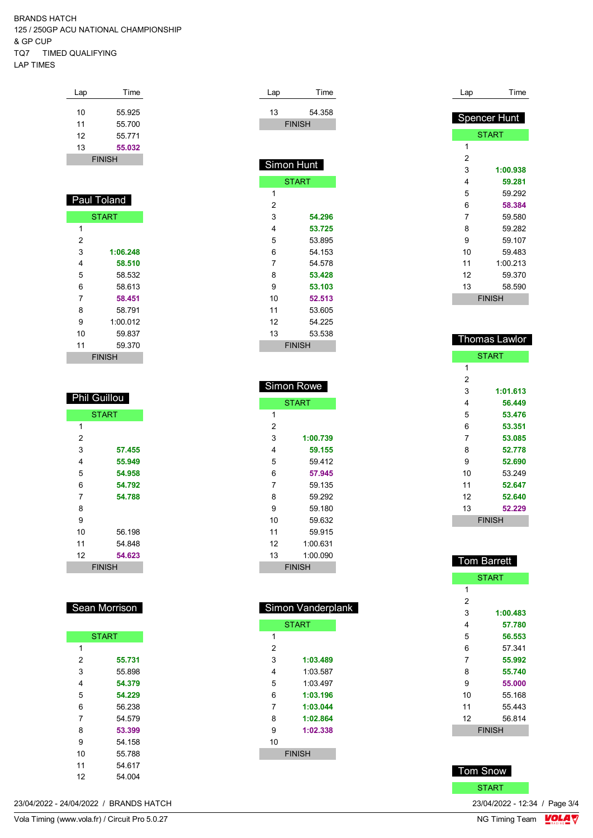| Lap | Time          |
|-----|---------------|
|     |               |
| 10  | 55.925        |
| 11  | 55 700        |
| 12  | 55.771        |
| 13  | 55.032        |
|     | <b>FINISH</b> |

| Paul Toland   |          |  |  |  |  |  |
|---------------|----------|--|--|--|--|--|
| <b>START</b>  |          |  |  |  |  |  |
| 1             |          |  |  |  |  |  |
| 2             |          |  |  |  |  |  |
| 3             | 1:06.248 |  |  |  |  |  |
| 4             | 58.510   |  |  |  |  |  |
| 5             | 58.532   |  |  |  |  |  |
| 6             | 58.613   |  |  |  |  |  |
| 7             | 58.451   |  |  |  |  |  |
| 8             | 58.791   |  |  |  |  |  |
| 9             | 1:00.012 |  |  |  |  |  |
| 10            | 59.837   |  |  |  |  |  |
| 11            | 59 370   |  |  |  |  |  |
| <b>FINISH</b> |          |  |  |  |  |  |

| <b>Phil Guillou</b> |        |  |  |  |  |  |
|---------------------|--------|--|--|--|--|--|
| <b>START</b>        |        |  |  |  |  |  |
| 1                   |        |  |  |  |  |  |
| 2                   |        |  |  |  |  |  |
| 3                   | 57.455 |  |  |  |  |  |
| 4                   | 55.949 |  |  |  |  |  |
| 5                   | 54.958 |  |  |  |  |  |
| 6                   | 54.792 |  |  |  |  |  |
| 7                   | 54.788 |  |  |  |  |  |
| 8                   |        |  |  |  |  |  |
| 9                   |        |  |  |  |  |  |
| 10                  | 56.198 |  |  |  |  |  |
| 11                  | 54.848 |  |  |  |  |  |
| 12                  | 54.623 |  |  |  |  |  |
| <b>FINISH</b>       |        |  |  |  |  |  |

#### Sean Morrison

| <b>START</b> |        |  |
|--------------|--------|--|
| 1            |        |  |
| 2            | 55.731 |  |
| 3            | 55.898 |  |
| 4            | 54.379 |  |
| 5            | 54.229 |  |
| 6            | 56.238 |  |
| 7            | 54.579 |  |
| 8            | 53.399 |  |
| 9            | 54 158 |  |
| 10           | 55 788 |  |
| 11           | 54.617 |  |
| 12           | 54.004 |  |

| Simon Hunt |               |
|------------|---------------|
|            | <b>START</b>  |
| 1          |               |
| 2          |               |
| 3          | 54.296        |
| 4          | 53.725        |
| 5          | 53.895        |
| 6          | 54.153        |
| 7          | 54.578        |
| 8          | 53.428        |
| 9          | 53.103        |
| 10         | 52.513        |
| 11         | 53.605        |
| 12         | 54.225        |
| 13         | 53.538        |
|            | <b>FINISH</b> |
|            | Simon Rowe    |
|            |               |
|            | <b>START</b>  |
| 1          |               |
| 2          |               |

Lap Time 54.358 FINISH

| 1      |          |  |  |  |
|--------|----------|--|--|--|
| 2      |          |  |  |  |
| 3      | 1:00.739 |  |  |  |
| 4      | 59.155   |  |  |  |
| 5      | 59 412   |  |  |  |
| 6      | 57.945   |  |  |  |
| 7      | 59.135   |  |  |  |
| 8      | 59 292   |  |  |  |
| Й      | 59.180   |  |  |  |
| 10     | 59.632   |  |  |  |
| 11     | 59 915   |  |  |  |
| 12     | 1:00.631 |  |  |  |
| 13     | 1:00.090 |  |  |  |
| FINISH |          |  |  |  |

|              | Simon Vanderplank |  |  |  |  |  |
|--------------|-------------------|--|--|--|--|--|
| <b>START</b> |                   |  |  |  |  |  |
| 1            |                   |  |  |  |  |  |
| 2            |                   |  |  |  |  |  |
| 3            | 1:03.489          |  |  |  |  |  |
| 4            | 1:03.587          |  |  |  |  |  |
| 5            | 1.03497           |  |  |  |  |  |
| 6            | 1:03.196          |  |  |  |  |  |
| 7            | 1:03.044          |  |  |  |  |  |
| 8            | 1:02.864          |  |  |  |  |  |
| 9            | 1:02.338          |  |  |  |  |  |
| 10           |                   |  |  |  |  |  |
|              | <b>FINISH</b>     |  |  |  |  |  |

| Lap          | Time          |  |  |  |  |  |
|--------------|---------------|--|--|--|--|--|
|              |               |  |  |  |  |  |
| Spencer Hunt |               |  |  |  |  |  |
| <b>START</b> |               |  |  |  |  |  |
| 1            |               |  |  |  |  |  |
| 2            |               |  |  |  |  |  |
| 3            | 1:00.938      |  |  |  |  |  |
| 4            | 59.281        |  |  |  |  |  |
| 5            | 59.292        |  |  |  |  |  |
| 6            | 58.384        |  |  |  |  |  |
| 7            | 59.580        |  |  |  |  |  |
| 8            | 59.282        |  |  |  |  |  |
| 9            | 59.107        |  |  |  |  |  |
| 10           | 59.483        |  |  |  |  |  |
| 11           | 1:00.213      |  |  |  |  |  |
| 12           | 59.370        |  |  |  |  |  |
| 13           | 58.590        |  |  |  |  |  |
|              | <b>FINISH</b> |  |  |  |  |  |

| Thomas Lawl <u>or</u> |          |  |  |  |
|-----------------------|----------|--|--|--|
| <b>START</b>          |          |  |  |  |
| 1                     |          |  |  |  |
| 2                     |          |  |  |  |
| 3                     | 1:01.613 |  |  |  |
| 4                     | 56.449   |  |  |  |
| 5                     | 53.476   |  |  |  |
| 6                     | 53.351   |  |  |  |
| 7                     | 53.085   |  |  |  |
| 8                     | 52.778   |  |  |  |
| 9                     | 52.690   |  |  |  |
| 10                    | 53.249   |  |  |  |
| 11                    | 52.647   |  |  |  |
| 12                    | 52.640   |  |  |  |
| 13                    | 52.229   |  |  |  |
| <b>FINISH</b>         |          |  |  |  |

| <b>Tom Barrett</b> |          |  |  |  |  |
|--------------------|----------|--|--|--|--|
| <b>START</b>       |          |  |  |  |  |
| 1                  |          |  |  |  |  |
| 2                  |          |  |  |  |  |
| 3                  | 1:00.483 |  |  |  |  |
| 4                  | 57.780   |  |  |  |  |
| 5<br>56.553        |          |  |  |  |  |
| 6                  | 57 341   |  |  |  |  |
| 7                  | 55.992   |  |  |  |  |
| 8                  | 55.740   |  |  |  |  |
| 9                  | 55.000   |  |  |  |  |
| 10                 | 55.168   |  |  |  |  |
| 11                 | 55.443   |  |  |  |  |
| 12                 | 56.814   |  |  |  |  |
| <b>FINISH</b>      |          |  |  |  |  |

Tom Snow

START

23/04/2022 - 12:34 / Page 3/4<br>NG Timing Team  $\frac{\text{VOLA}}{\text{V}}$ 

Vola Timing (www.vola.fr) / Circuit Pro 5.0.27 23/04/2022 - 24/04/2022 / BRANDS HATCH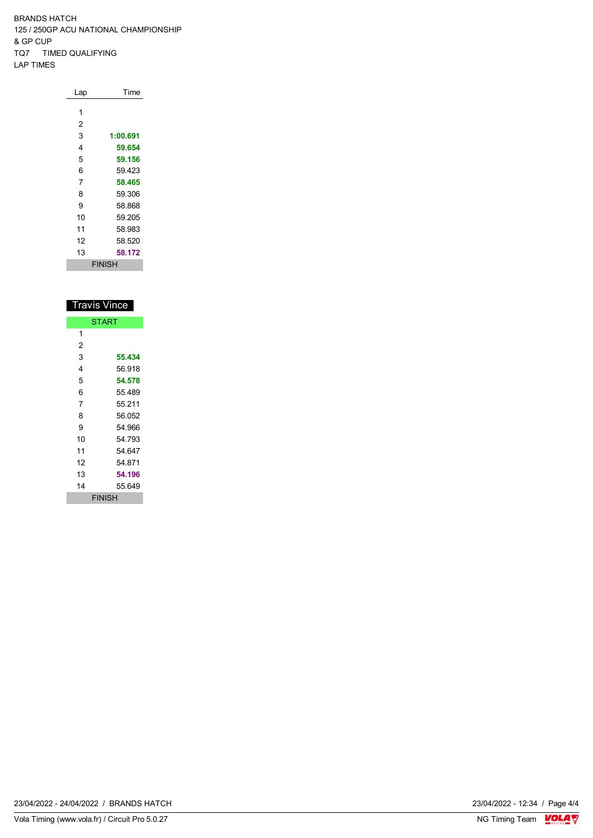| Lap           | Time     |  |  |
|---------------|----------|--|--|
| 1             |          |  |  |
|               |          |  |  |
| 2             |          |  |  |
| 3             | 1:00.691 |  |  |
| 4             | 59.654   |  |  |
| 5             | 59.156   |  |  |
| 6             | 59423    |  |  |
| 7             | 58.465   |  |  |
| 8             | 59.306   |  |  |
| 9             | 58.868   |  |  |
| 10            | 59.205   |  |  |
| 11            | 58.983   |  |  |
| 12            | 58.520   |  |  |
| 13            | 58.172   |  |  |
| <b>FINISH</b> |          |  |  |

| Travis Vince  |        |  |  |  |  |
|---------------|--------|--|--|--|--|
| <b>START</b>  |        |  |  |  |  |
| 1             |        |  |  |  |  |
| 2             |        |  |  |  |  |
| 3             | 55.434 |  |  |  |  |
| 4             | 56.918 |  |  |  |  |
| 5<br>54.578   |        |  |  |  |  |
| 6             | 55.489 |  |  |  |  |
| 7             | 55.211 |  |  |  |  |
| 8             | 56.052 |  |  |  |  |
| 9             | 54.966 |  |  |  |  |
| 10<br>54.793  |        |  |  |  |  |
| 11            | 54.647 |  |  |  |  |
| 12            | 54.871 |  |  |  |  |
| 13            | 54.196 |  |  |  |  |
| 14            | 55.649 |  |  |  |  |
| <b>FINISH</b> |        |  |  |  |  |

23/04/2022 - 12:34 / Page 4/4<br>NG Timing Team  $\frac{\text{VOLA}}{\text{N}}$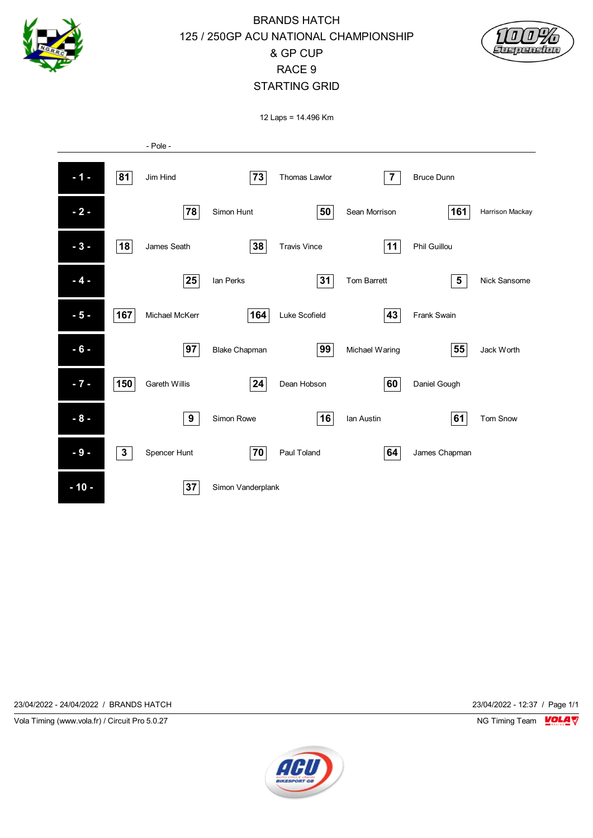

## BRANDS HATCH 125 / 250GP ACU NATIONAL CHAMPIONSHIP & GP CUP RACE 9 STARTING GRID



12 Laps = 14.496 Km



23/04/2022 - 24/04/2022 / BRANDS HATCH 23/04/2022 - 12:37 / Page 1/1

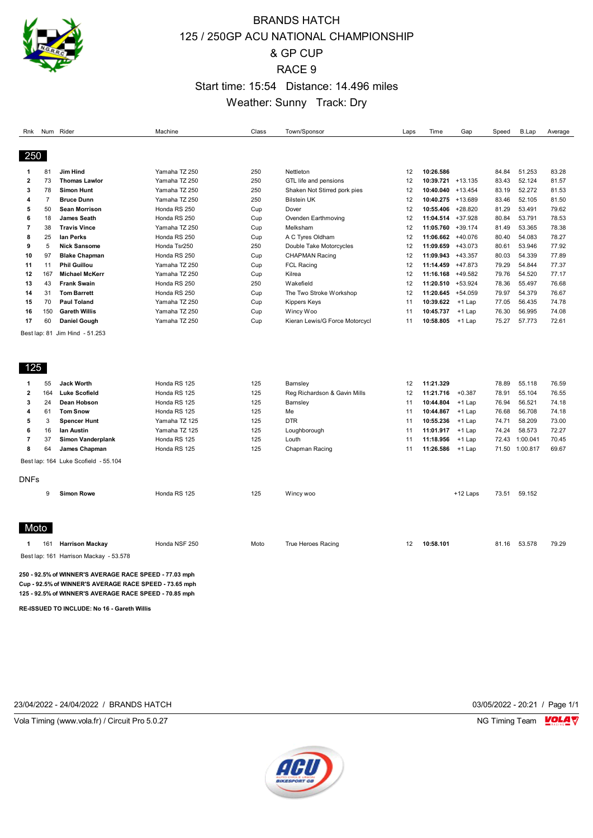

## BRANDS HATCH 125 / 250GP ACU NATIONAL CHAMPIONSHIP & GP CUP RACE 9 Start time: 15:54 Distance: 14.496 miles Weather: Sunny Track: Dry

| Rnk            |                | Num Rider                                              | Machine       | Class | Town/Sponsor                   | Laps | Time              | Gap       | Speed | <b>B.Lap</b> | Average |
|----------------|----------------|--------------------------------------------------------|---------------|-------|--------------------------------|------|-------------------|-----------|-------|--------------|---------|
|                |                |                                                        |               |       |                                |      |                   |           |       |              |         |
| 250            |                |                                                        |               |       |                                |      |                   |           |       |              |         |
| 1              | 81             | Jim Hind                                               | Yamaha TZ 250 | 250   | Nettleton                      | 12   | 10:26.586         |           | 84.84 | 51.253       | 83.28   |
| $\overline{2}$ | 73             | <b>Thomas Lawlor</b>                                   | Yamaha TZ 250 | 250   | GTL life and pensions          | 12   | 10:39.721 +13.135 |           | 83.43 | 52.124       | 81.57   |
| 3              | 78             | <b>Simon Hunt</b>                                      | Yamaha TZ 250 | 250   | Shaken Not Stirred pork pies   | 12   | 10:40.040         | $+13.454$ | 83.19 | 52.272       | 81.53   |
| 4              | $\overline{7}$ | <b>Bruce Dunn</b>                                      | Yamaha TZ 250 | 250   | <b>Bilstein UK</b>             | 12   | 10:40.275         | +13.689   | 83.46 | 52.105       | 81.50   |
| 5              | 50             | <b>Sean Morrison</b>                                   | Honda RS 250  | Cup   | Dover                          | 12   | 10:55.406         | +28.820   | 81.29 | 53.491       | 79.62   |
| 6              | 18             | <b>James Seath</b>                                     | Honda RS 250  | Cup   | Ovenden Earthmoving            | 12   | 11:04.514         | +37.928   | 80.84 | 53.791       | 78.53   |
| $\overline{7}$ | 38             | <b>Travis Vince</b>                                    | Yamaha TZ 250 | Cup   | Melksham                       | 12   | 11:05.760         | $+39.174$ | 81.49 | 53.365       | 78.38   |
| 8              | 25             | lan Perks                                              | Honda RS 250  | Cup   | A C Tyres Oldham               | 12   | 11:06.662         | $+40.076$ | 80.40 | 54.083       | 78.27   |
| 9              | 5              | <b>Nick Sansome</b>                                    | Honda Tsr250  | 250   | Double Take Motorcycles        | 12   | 11:09.659         | $+43.073$ | 80.61 | 53.946       | 77.92   |
| 10             | 97             | <b>Blake Chapman</b>                                   | Honda RS 250  | Cup   | <b>CHAPMAN Racing</b>          | 12   | 11:09.943         | $+43.357$ | 80.03 | 54.339       | 77.89   |
| 11             | 11             | <b>Phil Guillou</b>                                    | Yamaha TZ 250 | Cup   | FCL Racing                     | 12   | 11:14.459         | +47.873   | 79.29 | 54.844       | 77.37   |
| 12             | 167            | <b>Michael McKerr</b>                                  | Yamaha TZ 250 | Cup   | Kilrea                         | 12   | 11:16.168         | +49.582   | 79.76 | 54.520       | 77.17   |
| 13             | 43             | <b>Frank Swain</b>                                     | Honda RS 250  | 250   | Wakefield                      | 12   | 11:20.510         | +53.924   | 78.36 | 55.497       | 76.68   |
| 14             | 31             | <b>Tom Barrett</b>                                     | Honda RS 250  | Cup   | The Two Stroke Workshop        | 12   | 11:20.645         | $+54.059$ | 79.97 | 54.379       | 76.67   |
| 15             | 70             | <b>Paul Toland</b>                                     | Yamaha TZ 250 | Cup   | <b>Kippers Keys</b>            | 11   | 10:39.622         | +1 Lap    | 77.05 | 56.435       | 74.78   |
| 16             | 150            | <b>Gareth Willis</b>                                   | Yamaha TZ 250 | Cup   | Wincy Woo                      | 11   | 10:45.737         | $+1$ Lap  | 76.30 | 56.995       | 74.08   |
| 17             | 60             | <b>Daniel Gough</b>                                    | Yamaha TZ 250 | Cup   | Kieran Lewis/G Force Motorcycl | 11   | 10:58.805         | +1 Lap    | 75.27 | 57.773       | 72.61   |
| 125            |                |                                                        |               |       |                                |      |                   |           |       |              |         |
| 1              | 55             | <b>Jack Worth</b>                                      | Honda RS 125  | 125   | Barnsley                       | 12   | 11:21.329         |           | 78.89 | 55.118       | 76.59   |
| $\mathbf{2}$   | 164            | <b>Luke Scofield</b>                                   | Honda RS 125  | 125   | Reg Richardson & Gavin Mills   | 12   | 11:21.716         | $+0.387$  | 78.91 | 55.104       | 76.55   |
| 3              | 24             | Dean Hobson                                            | Honda RS 125  | 125   | Barnsley                       | 11   | 10:44.804         | $+1$ Lap  | 76.94 | 56.521       | 74.18   |
| 4              | 61             | <b>Tom Snow</b>                                        | Honda RS 125  | 125   | Me                             | 11   | 10:44.867         | $+1$ Lap  | 76.68 | 56.708       | 74.18   |
| 5              | 3              | <b>Spencer Hunt</b>                                    | Yamaha TZ 125 | 125   | <b>DTR</b>                     | 11   | 10:55.236         | $+1$ Lap  | 74.71 | 58.209       | 73.00   |
| 6              | 16             | lan Austin                                             | Yamaha TZ 125 | 125   | Loughborough                   | 11   | 11:01.917         | $+1$ Lap  | 74.24 | 58.573       | 72.27   |
| $\overline{7}$ | 37             | <b>Simon Vanderplank</b>                               | Honda RS 125  | 125   | Louth                          | 11   | 11:18.956         | $+1$ Lap  | 72.43 | 1:00.041     | 70.45   |
| 8              | 64             | James Chapman                                          | Honda RS 125  | 125   | Chapman Racing                 | 11   | 11:26.586         | $+1$ Lap  | 71.50 | 1:00.817     | 69.67   |
|                |                | Best lap: 164 Luke Scofield - 55.104                   |               |       |                                |      |                   |           |       |              |         |
| <b>DNFs</b>    |                |                                                        |               |       |                                |      |                   |           |       |              |         |
|                | 9              | <b>Simon Rowe</b>                                      | Honda RS 125  | 125   | Wincy woo                      |      |                   | +12 Laps  | 73.51 | 59.152       |         |
| Moto           |                |                                                        |               |       |                                |      |                   |           |       |              |         |
| 1.             | 161            | <b>Harrison Mackay</b>                                 | Honda NSF 250 | Moto  | True Heroes Racing             | 12   | 10:58.101         |           | 81.16 | 53.578       | 79.29   |
|                |                | Best lap: 161 Harrison Mackay - 53.578                 |               |       |                                |      |                   |           |       |              |         |
|                |                | 250 - 92.5% of WINNER'S AVERAGE RACE SPEED - 77.03 mph |               |       |                                |      |                   |           |       |              |         |

**Cup - 92.5% of WINNER'S AVERAGE RACE SPEED - 73.65 mph 125 - 92.5% of WINNER'S AVERAGE RACE SPEED - 70.85 mph**

**RE-ISSUED TO INCLUDE: No 16 - Gareth Willis**

23/04/2022 - 24/04/2022 / BRANDS HATCH 03/05/2022 - 20:21 / Page 1/1

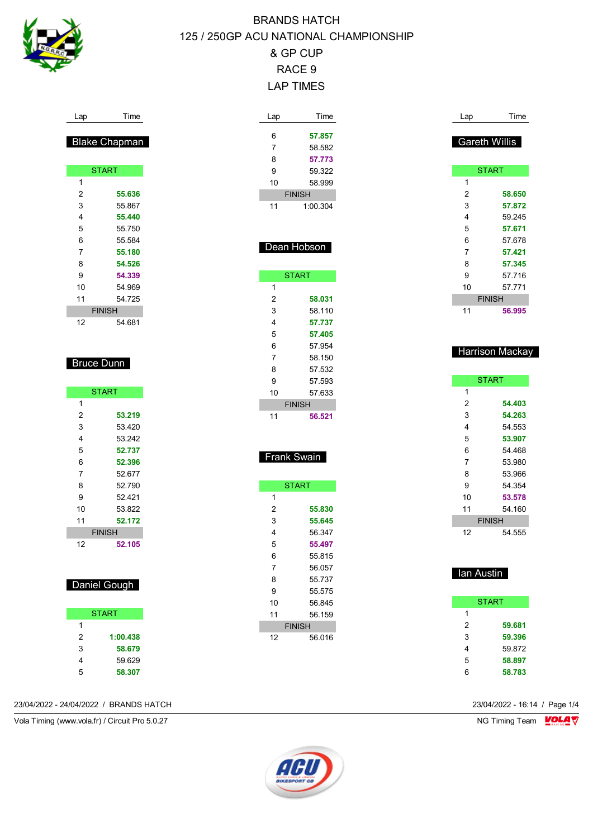

Lap Time

 **57.857** 58.582 **57.773**

| Lap | Time                 |
|-----|----------------------|
|     |                      |
|     | <b>Blake Chapman</b> |

|    | <b>START</b>  |
|----|---------------|
| 1  |               |
| 2  | 55.636        |
| 3  | 55.867        |
| 4  | 55.440        |
| 5  | 55.750        |
| 6  | 55.584        |
| 7  | 55.180        |
| 8  | 54.526        |
| 9  | 54.339        |
| 10 | 54.969        |
| 11 | 54.725        |
|    | <b>FINISH</b> |
| 12 | 54.681        |

#### Bruce Dunn

|    | <b>START</b>  |
|----|---------------|
| 1  |               |
| 2  | 53.219        |
| 3  | 53.420        |
| 4  | 53 242        |
| 5  | 52.737        |
| 6  | 52.396        |
| 7  | 52.677        |
| 8  | 52.790        |
| 9  | 52 421        |
| 10 | 53 822        |
| 11 | 52.172        |
|    | <b>FINISH</b> |
| 12 | 52.105        |
|    |               |
|    |               |

## Daniel Gough

|   | <b>START</b> |
|---|--------------|
| 1 |              |
| 2 | 1:00.438     |
| 3 | 58.679       |
| 4 | 59.629       |
| 5 | 58.307       |

23/04/2022 - 24/04/2022 / BRANDS HATCH 23/04/2022 - 16:14 / Page 1/4

Vola Timing (www.vola.fr) / Circuit Pro 5.0.27 NG Timing Team NG Timing Team NG Timing Team NG Timing Team NG

| 9              | 59.322        |
|----------------|---------------|
| 10             | 58.999        |
|                | <b>FINISH</b> |
| 11             | 1:00.304      |
|                |               |
|                |               |
|                | Dean Hobson   |
|                |               |
|                | <b>START</b>  |
| 1              |               |
|                |               |
| $\overline{2}$ | 58.031        |
| 3              | 58.110        |
| 4              | 57.737        |
| 5              | 57.405        |
| 6              | 57.954        |
| 7              | 58.150        |
| 8              | 57.532        |
| 9              | 57.593        |
| 10             | 57.633        |
|                | <b>FINISH</b> |
| 11             | 56.521        |
|                |               |
|                |               |
|                | Frank Swain   |
|                |               |
|                |               |
|                | <b>START</b>  |

| 1  |               |
|----|---------------|
| 2  | 55.830        |
| 3  | 55.645        |
| 4  | 56.347        |
| 5  | 55.497        |
| 6  | 55.815        |
| 7  | 56.057        |
| 8  | 55 737        |
| 9  | 55 575        |
| 10 | 56.845        |
| 11 | 56.159        |
|    | <b>FINISH</b> |
| 12 | 56.016        |
|    |               |

| Lap | Time                 |
|-----|----------------------|
|     | <b>Gareth Willis</b> |
|     |                      |
|     | <b>START</b>         |
| 1   |                      |
| 2   | 58.650               |
| 3   | 57.872               |
| 4   | 59.245               |
| 5   | 57.671               |
| 6   | 57.678               |
| 7   | 57.421               |
| 8   | 57.345               |
| 9   | 57.716               |
| 10  | 57.771               |
|     | <b>FINISH</b>        |
| 11  | 56.995               |

### Harrison Mackay

|    | <b>START</b>  |
|----|---------------|
| 1  |               |
| 2  | 54.403        |
| 3  | 54.263        |
| 4  | 54.553        |
| 5  | 53.907        |
| 6  | 54.468        |
| 7  | 53.980        |
| 8  | 53.966        |
| 9  | 54 354        |
| 10 | 53.578        |
| 11 | 54.160        |
|    | <b>FINISH</b> |
| 12 | 54.555        |

#### **Ian Austin**

|   | <b>START</b> |
|---|--------------|
| 1 |              |
| 2 | 59.681       |
| 3 | 59.396       |
| 4 | 59.872       |
| 5 | 58.897       |
| հ | 58.783       |

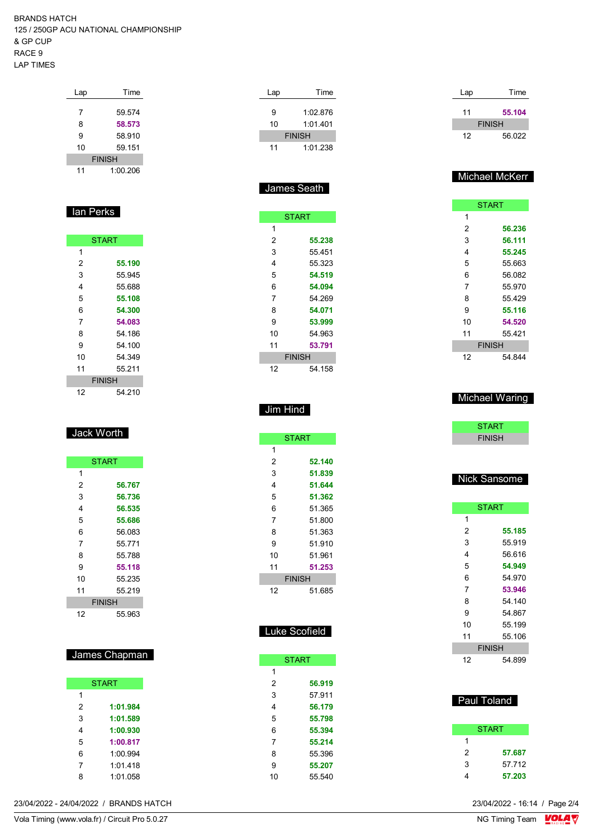| Lap | Time          |
|-----|---------------|
|     |               |
| 7   | 59.574        |
| 8   | 58.573        |
| 9   | 58.910        |
| 10  | 59.151        |
|     | <b>FINISH</b> |
| 11  | 1:00.206      |

#### lan Perks

|    | <b>START</b>  |
|----|---------------|
| 1  |               |
| 2  | 55.190        |
| 3  | 55.945        |
| 4  | 55.688        |
| 5  | 55.108        |
| 6  | 54.300        |
| 7  | 54.083        |
| 8  | 54.186        |
| 9  | 54.100        |
| 10 | 54 349        |
| 11 | 55.211        |
|    | <b>FINISH</b> |
| 12 | 54 210        |

#### Jack Worth

|               | <b>START</b> |
|---------------|--------------|
| 1             |              |
| 2             | 56.767       |
| 3             | 56.736       |
| 4             | 56.535       |
| 5             | 55.686       |
| 6             | 56.083       |
| 7             | 55.771       |
| 8             | 55.788       |
| 9             | 55.118       |
| 10            | 55.235       |
| 11            | 55 219       |
| <b>FINISH</b> |              |
| 12            | 55.963       |

| James Chapman |  |
|---------------|--|
|---------------|--|

| <b>START</b> |          |
|--------------|----------|
| 1            |          |
| 2            | 1:01.984 |
| 3            | 1:01.589 |
| 4            | 1:00.930 |
| 5            | 1:00.817 |
| 6            | 1:00.994 |
| 7            | 1:01.418 |
| ጸ            | 1.01058  |

| Lap           | Time     |
|---------------|----------|
| 9             | 1:02.876 |
| 10            | 1:01 401 |
|               |          |
| <b>FINISH</b> |          |
| 11            | 1:01.238 |

#### James Seath

| <b>START</b>  |        |
|---------------|--------|
| 1             |        |
| 2             | 55.238 |
| 3             | 55.451 |
| 4             | 55.323 |
| 5             | 54.519 |
| 6             | 54.094 |
| 7             | 54.269 |
| 8             | 54.071 |
| 9             | 53.999 |
| 10            | 54.963 |
| 11            | 53.791 |
| <b>FINISH</b> |        |
| 12            | 54.158 |

### Jim Hind

| <b>START</b>  |        |
|---------------|--------|
| 1             |        |
| 2             | 52.140 |
| 3             | 51.839 |
| 4             | 51.644 |
| 5             | 51.362 |
| 6             | 51.365 |
| 7             | 51.800 |
| 8             | 51.363 |
| 9             | 51.910 |
| 10            | 51.961 |
| 11            | 51.253 |
| <b>FINISH</b> |        |
| 12            | 51.685 |

| <b>START</b> |        |  |
|--------------|--------|--|
| 1            |        |  |
| 2            | 56.919 |  |
| 3            | 57 911 |  |
| 4            | 56.179 |  |
| 5            | 55.798 |  |
| 6            | 55.394 |  |
| 7            | 55.214 |  |
| 8            | 55 396 |  |
| 9            | 55.207 |  |
| 10           | 55.540 |  |

| Lap           | Time   |
|---------------|--------|
| 11            | 55.104 |
| <b>FINISH</b> |        |
| 12            | 56.022 |

#### Michael McKerr

| <b>START</b>  |        |
|---------------|--------|
| 1             |        |
| 2             | 56.236 |
| 3             | 56.111 |
| 4             | 55.245 |
| 5             | 55.663 |
| 6             | 56.082 |
| 7             | 55.970 |
| 8             | 55.429 |
| 9             | 55.116 |
| 10            | 54.520 |
| 11            | 55 421 |
| <b>FINISH</b> |        |
| 12            | 54 844 |

#### Michael Waring

| <b>START</b>  |                     |
|---------------|---------------------|
| <b>FINISH</b> |                     |
|               |                     |
|               |                     |
|               | <b>Nick Sansome</b> |
|               |                     |
|               | <b>START</b>        |
| 1             |                     |
| 2             | 55.185              |
| 3             | 55.919              |
| 4             | 56.616              |
| 5             | 54.949              |
| 6             | 54 970              |
| 7             | 53.946              |
| 8             | 54.140              |
| 9             | 54.867              |
| 10            | 55.199              |
| 11            | 55.106              |
| <b>FINISH</b> |                     |
| 12            | 54.899              |
|               |                     |

| <b>Paul Toland</b> |        |  |
|--------------------|--------|--|
| <b>START</b>       |        |  |
| 1                  |        |  |
| 2                  | 57.687 |  |
| 3                  | 57.712 |  |
|                    | 57.203 |  |

23/04/2022 - 24/04/2022 / BRANDS HATCH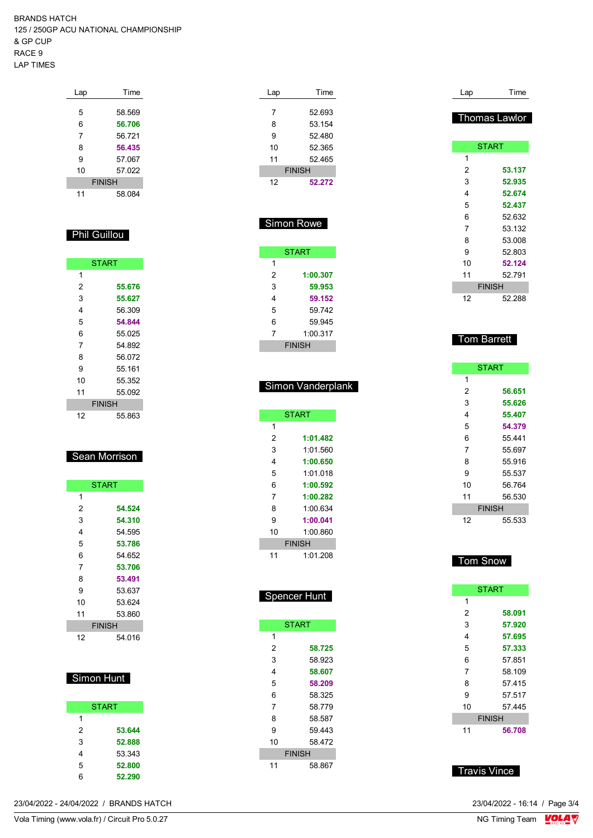| Lap           | Time   |
|---------------|--------|
|               |        |
| 5             | 58.569 |
| 6             | 56.706 |
| 7             | 56.721 |
| 8             | 56.435 |
| 9             | 57.067 |
| 10            | 57.022 |
| <b>FINISH</b> |        |
| 11            | 58.084 |

### Phil Guillou

| <b>START</b>  |        |
|---------------|--------|
| 1             |        |
| 2             | 55.676 |
| 3             | 55.627 |
| 4             | 56.309 |
| 5             | 54.844 |
| 6             | 55.025 |
| 7             | 54.892 |
| 8             | 56.072 |
| 9             | 55 161 |
| 10            | 55.352 |
| 11            | 55.092 |
| <b>FINISH</b> |        |
| 12            | 55.863 |

### Sean Morrison

| <b>START</b> |               |
|--------------|---------------|
| 1            |               |
| 2            | 54.524        |
| 3            | 54.310        |
| 4            | 54.595        |
| 5            | 53.786        |
| 6            | 54.652        |
| 7            | 53.706        |
| 8            | 53.491        |
| 9            | 53.637        |
| 10           | 53 624        |
| 11           | 53.860        |
|              | <b>FINISH</b> |
| 12           | 54 016        |

## Simon Hunt

| <b>START</b> |        |
|--------------|--------|
| 1            |        |
| 2            | 53.644 |
| 3            | 52.888 |
| 4            | 53.343 |
| 5            | 52.800 |
| 6            | 52.290 |

| 23/04/2022 - 24/04/2022 / BRANDS HATCH | 23/04/2022 - 16:14 / Page 3/4 |
|----------------------------------------|-------------------------------|
|----------------------------------------|-------------------------------|

| Lap | Time          |
|-----|---------------|
|     |               |
| 7   | 52.693        |
| 8   | 53.154        |
| 9   | 52480         |
| 10  | 52.365        |
| 11  | 52.465        |
|     | <b>FINISH</b> |
| 12  | 52.272        |
|     |               |

| <b>Simon Rowe</b> |              |
|-------------------|--------------|
|                   | <b>START</b> |
| 1                 |              |
| 2                 | 1:00.307     |
| 3                 | 59.953       |
| 4                 | 59.152       |
| 5                 | 59.742       |
| 6                 | 59 945       |
| 7                 | 1:00.317     |
| <b>FINISH</b>     |              |

#### Simon Vanderplank

|    | <b>START</b>  |
|----|---------------|
| 1  |               |
| 2  | 1:01.482      |
| 3  | 1:01.560      |
| 4  | 1:00.650      |
| 5  | 1:01 018      |
| 6  | 1:00.592      |
| 7  | 1:00.282      |
| 8  | 1:00.634      |
| 9  | 1:00.041      |
| 10 | 1:00.860      |
|    | <b>FINISH</b> |
| 11 | 1:01 208      |

| Spencer Hunt |
|--------------|
|--------------|

|    | <b>START</b>  |
|----|---------------|
| 1  |               |
| 2  | 58.725        |
| 3  | 58 923        |
| 4  | 58.607        |
| 5  | 58.209        |
| 6  | 58.325        |
| 7  | 58 779        |
| 8  | 58.587        |
| 9  | 59 443        |
| 10 | 58.472        |
|    | <b>FINISH</b> |
| 11 | 58.867        |

| Lap | Time          |
|-----|---------------|
|     | Thomas Lawlor |
|     |               |
|     | <b>START</b>  |
| 1   |               |
| 2   | 53.137        |
| 3   | 52.935        |
| 4   | 52.674        |
| 5   | 52.437        |
| 6   | 52.632        |
| 7   | 53.132        |
| 8   | 53.008        |
| 9   | 52.803        |
| 10  | 52.124        |
| 11  | 52.791        |
|     | <b>FINISH</b> |
| 12  | 52.288        |

### Tom Barrett

|    | <b>START</b>  |
|----|---------------|
| 1  |               |
| 2  | 56.651        |
| 3  | 55.626        |
| 4  | 55.407        |
| 5  | 54.379        |
| 6  | 55 441        |
| 7  | 55 697        |
| 8  | 55 916        |
| 9  | 55.537        |
| 10 | 56.764        |
| 11 | 56.530        |
|    | <b>FINISH</b> |
| 12 | 55.533        |

### Tom Snow

| <b>START</b>  |        |
|---------------|--------|
| 1             |        |
| 2             | 58.091 |
| 3             | 57.920 |
| 4             | 57.695 |
| 5             | 57.333 |
| 6             | 57.851 |
| 7             | 58 109 |
| 8             | 57 415 |
| 9             | 57.517 |
| 10            | 57 445 |
| <b>FINISH</b> |        |
| 11            | 56.708 |

#### Travis Vince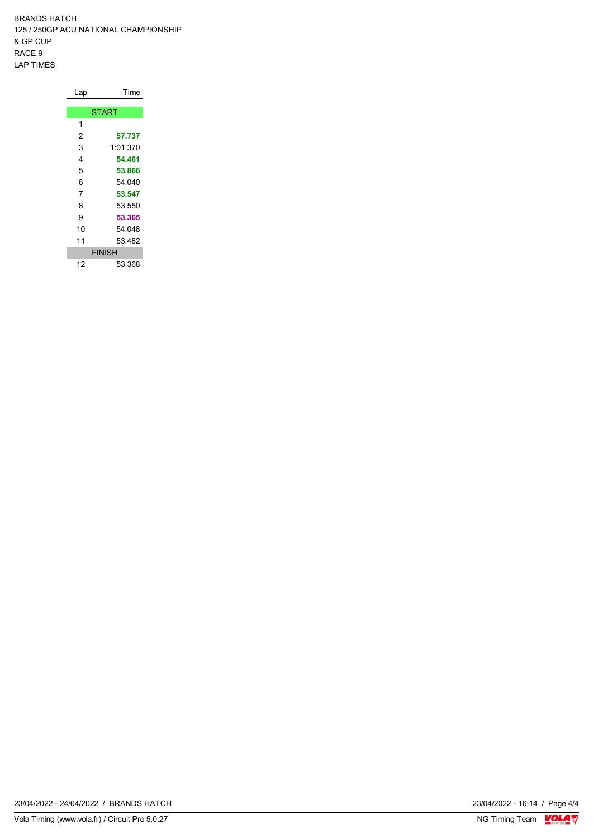| Lap           | Time     |  |  |  |  |  |  |  |  |  |
|---------------|----------|--|--|--|--|--|--|--|--|--|
|               |          |  |  |  |  |  |  |  |  |  |
| <b>START</b>  |          |  |  |  |  |  |  |  |  |  |
| 1             |          |  |  |  |  |  |  |  |  |  |
| 2             | 57.737   |  |  |  |  |  |  |  |  |  |
| 3             | 1:01.370 |  |  |  |  |  |  |  |  |  |
| 4             | 54.461   |  |  |  |  |  |  |  |  |  |
| 5             | 53.866   |  |  |  |  |  |  |  |  |  |
| 6             | 54.040   |  |  |  |  |  |  |  |  |  |
| 7             | 53.547   |  |  |  |  |  |  |  |  |  |
| 8             | 53.550   |  |  |  |  |  |  |  |  |  |
| 9             | 53.365   |  |  |  |  |  |  |  |  |  |
| 10            | 54.048   |  |  |  |  |  |  |  |  |  |
| 11            | 53.482   |  |  |  |  |  |  |  |  |  |
| <b>FINISH</b> |          |  |  |  |  |  |  |  |  |  |
| 12            | 53.368   |  |  |  |  |  |  |  |  |  |

 $\frac{23}{04}{2022 - 16:14}$  / Page 4/4<br>NG Timing Team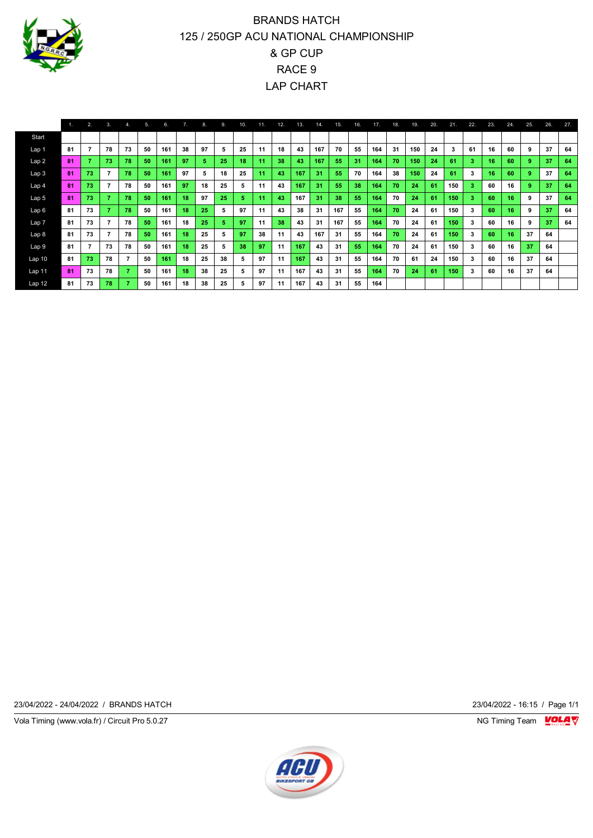

|                   |    | 2.             | 3  | 4.             | 5. | 6.  | 7. | 8. | 9. | 10. | 11 | 12. | 13. | 14. | 15. | 16. | 17. | 18. | 19. | 20. | 21. | 22. | 23. | 24. | 25. | 26. | 27. |
|-------------------|----|----------------|----|----------------|----|-----|----|----|----|-----|----|-----|-----|-----|-----|-----|-----|-----|-----|-----|-----|-----|-----|-----|-----|-----|-----|
| Start             |    |                |    |                |    |     |    |    |    |     |    |     |     |     |     |     |     |     |     |     |     |     |     |     |     |     |     |
| Lap 1             | 81 | $\overline{7}$ | 78 | 73             | 50 | 161 | 38 | 97 | 5  | 25  | 11 | 18  | 43  | 167 | 70  | 55  | 164 | 31  | 150 | 24  | 3   | 61  | 16  | 60  | 9   | 37  | 64  |
| Lap <sub>2</sub>  | 81 |                | 73 | 78             | 50 | 161 | 97 | 5  | 25 | 18  | 11 | 38  | 43  | 167 | 55  | 31  | 164 | 70  | 150 | 24  | 61  | 3   | 16  | 60  | 9.  | 37  | 64  |
| Lap <sub>3</sub>  | 81 | 73             |    | 78             | 50 | 161 | 97 | 5  | 18 | 25  | 11 | 43  | 167 | 31  | 55  | 70  | 164 | 38  | 150 | 24  | 61  | 3   | 16  | 60  | 9.  | 37  | 64  |
| Lap <sub>4</sub>  | 81 | 73             |    | 78             | 50 | 161 | 97 | 18 | 25 | 5   | 11 | 43  | 167 | 31  | 55  | 38  | 164 | 70  | -24 | 61  | 150 | 3   | 60  | 16  | 9.  | 37  | 64  |
| Lap <sub>5</sub>  | 81 | 73             |    | 78             | 50 | 161 | 18 | 97 | 25 | Б   | 11 | 43  | 167 | 31  | 38  | 55  | 164 | 70  | 24  | 61  | 150 | 3   | 60  | 16  | 9   | 37  | 64  |
| Lap6              | 81 | 73             |    | 78             | 50 | 161 | 18 | 25 | 5  | 97  | 11 | 43  | 38  | 31  | 167 | 55  | 164 | 70  | 24  | 61  | 150 | 3   | 60  | 16  | 9   | 37  | 64  |
| Lap <sub>7</sub>  | 81 | 73             |    | 78             | 50 | 161 | 18 | 25 | 5  | 97  | 11 | 38  | 43  | 31  | 167 | 55  | 164 | 70  | 24  | 61  | 150 | 3   | 60  | 16  | 9   | 37  | 64  |
| Lap <sub>8</sub>  | 81 | 73             |    | 78             | 50 | 161 | 18 | 25 | 5  | 97  | 38 | 11  | 43  | 167 | 31  | 55  | 164 | 70  | 24  | 61  | 150 | 3   | 60  | 16  | 37  | 64  |     |
| Lap 9             | 81 | 7              | 73 | 78             | 50 | 161 | 18 | 25 | 5  | 38  | 97 | 11  | 167 | 43  | 31  | 55  | 164 | 70  | 24  | 61  | 150 | 3   | 60  | 16  | 37  | 64  |     |
| Lap <sub>10</sub> | 81 | 73             | 78 | $\overline{7}$ | 50 | 161 | 18 | 25 | 38 | 5   | 97 | 11  | 167 | 43  | 31  | 55  | 164 | 70  | 61  | 24  | 150 | 3   | 60  | 16  | 37  | 64  |     |
| Lap 11            | 81 | 73             | 78 |                | 50 | 161 | 18 | 38 | 25 | 5   | 97 | 11  | 167 | 43  | 31  | 55  | 164 | 70  | 24  | 61  | 150 | 3   | 60  | 16  | 37  | 64  |     |
| Lap <sub>12</sub> | 81 | 73             | 78 |                | 50 | 161 | 18 | 38 | 25 | 5   | 97 | 11  | 167 | 43  | 31  | 55  | 164 |     |     |     |     |     |     |     |     |     |     |

23/04/2022 - 24/04/2022 / BRANDS HATCH 23/04/2022 - 16:15 / Page 1/1

Vola Timing (www.vola.fr) / Circuit Pro 5.0.27 NG Timing Team MC Timing Team MC Timing Team M